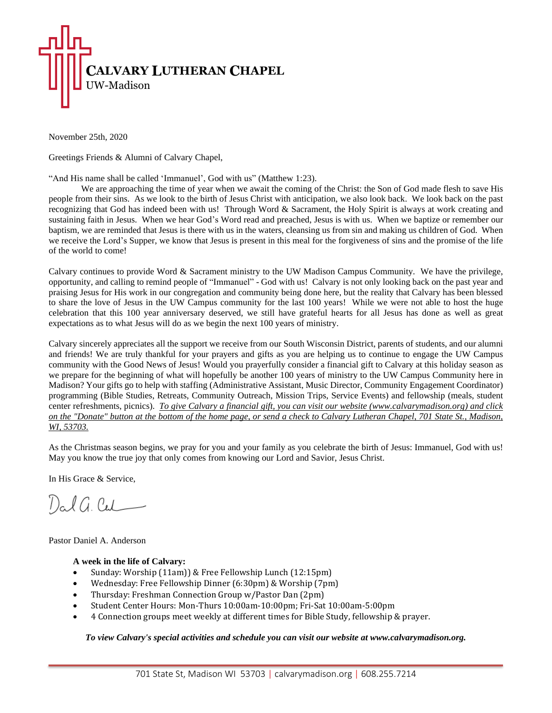

November 25th, 2020

Greetings Friends & Alumni of Calvary Chapel,

"And His name shall be called 'Immanuel', God with us" (Matthew 1:23).

We are approaching the time of year when we await the coming of the Christ: the Son of God made flesh to save His people from their sins. As we look to the birth of Jesus Christ with anticipation, we also look back. We look back on the past recognizing that God has indeed been with us! Through Word & Sacrament, the Holy Spirit is always at work creating and sustaining faith in Jesus. When we hear God's Word read and preached, Jesus is with us. When we baptize or remember our baptism, we are reminded that Jesus is there with us in the waters, cleansing us from sin and making us children of God. When we receive the Lord's Supper, we know that Jesus is present in this meal for the forgiveness of sins and the promise of the life of the world to come!

Calvary continues to provide Word & Sacrament ministry to the UW Madison Campus Community. We have the privilege, opportunity, and calling to remind people of "Immanuel" - God with us! Calvary is not only looking back on the past year and praising Jesus for His work in our congregation and community being done here, but the reality that Calvary has been blessed to share the love of Jesus in the UW Campus community for the last 100 years! While we were not able to host the huge celebration that this 100 year anniversary deserved, we still have grateful hearts for all Jesus has done as well as great expectations as to what Jesus will do as we begin the next 100 years of ministry.

Calvary sincerely appreciates all the support we receive from our South Wisconsin District, parents of students, and our alumni and friends! We are truly thankful for your prayers and gifts as you are helping us to continue to engage the UW Campus community with the Good News of Jesus! Would you prayerfully consider a financial gift to Calvary at this holiday season as we prepare for the beginning of what will hopefully be another 100 years of ministry to the UW Campus Community here in Madison? Your gifts go to help with staffing (Administrative Assistant, Music Director, Community Engagement Coordinator) programming (Bible Studies, Retreats, Community Outreach, Mission Trips, Service Events) and fellowship (meals, student center refreshments, picnics). *To give Calvary a financial gift, you can visit our website (www.calvarymadison.org) and click* on the "Donate" button at the bottom of the home page, or send a check to Calvary Lutheran Chapel, 701 State St., Madison, *WI, 53703.*

As the Christmas season begins, we pray for you and your family as you celebrate the birth of Jesus: Immanuel, God with us! May you know the true joy that only comes from knowing our Lord and Savior, Jesus Christ.

In His Grace & Service,

Dal G. Cal

Pastor Daniel A. Anderson

## **A week in the life of Calvary:**

- Sunday: Worship (11am)) & Free Fellowship Lunch (12:15pm)
- Wednesday: Free Fellowship Dinner (6:30pm) & Worship (7pm)
- Thursday: Freshman Connection Group w/Pastor Dan (2pm)
- Student Center Hours: Mon-Thurs 10:00am-10:00pm; Fri-Sat 10:00am-5:00pm
- 4 Connection groups meet weekly at different times for Bible Study, fellowship & prayer.

*To view Calvary's special activities and schedule you can visit our website at www.calvarymadison.org.*